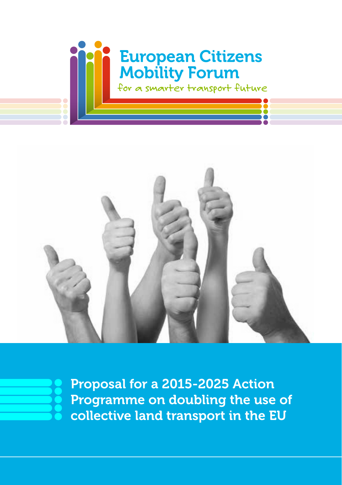





Proposal for a 2015-2025 Action Programme on doubling the use of collective land transport in the EU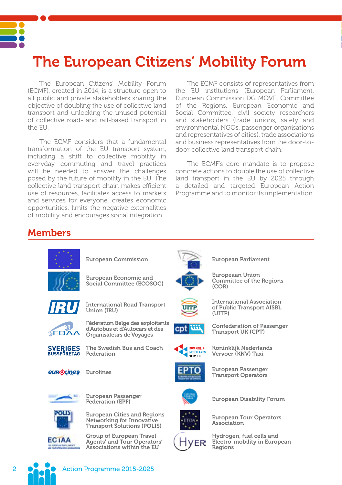# The European Citizens' Mobility Forum

The European Citizens' Mobility Forum (ECMF), created in 2014, is a structure open to all public and private stakeholders sharing the objective of doubling the use of collective land transport and unlocking the unused potential of collective road- and rail-based transport in  $the$  $FlI$ 

The ECMF considers that a fundamental transformation of the EU transport system, including a shift to collective mobility in everyday commuting and travel practices will be needed to answer the challenges posed by the future of mobility in the EU. The collective land transport chain makes efficient use of resources, facilitates access to markets and services for everyone, creates economic opportunities, limits the negative externalities of mobility and encourages social integration.

The ECMF consists of representatives from the EU institutions (European Parliament, European Commission DG MOVE, Committee of the Regions, European Economic and Social Committee, civil society researchers and stakeholders (trade unions, safety and environmental NGOs, passenger organisations and representatives of cities), trade associations and business representatives from the door-todoor collective land transport chain.

The ECMF's core mandate is to propose concrete actions to double the use of collective land transport in the EU by 2025 through a detailed and targeted European Action Programme and to monitor its implementation.

### Members



European Commission

European Economic and Social Committee (ECOSOC)



International Road Transport Union (IRU)



Fédération Belge des exploitants d'Autobus et d'Autocars et des Organisateurs de Voyages



The Swedish Bus and Coach Federation



Eurolines



European Passenger Federation (EPF)



European Cities and Regions Networking for Innovative Transport Solutions (POLIS)



Group of European Travel Agents' and Tour Operators' Associations within the EU



Europeaan Union Committee of the Regions (COR)

European Parliament



International Association of Public Transport AISBL (UITP)



Confederation of Passenger Transport UK (CPT)



Koninklijk Nederlands Vervoer (KNV) Taxi



European Passenger Transport Operators



European Disability Forum



European Tour Operators Association



Hydrogen, fuel cells and Electro-mobility in European Regions

2 Action Programme 2015-2025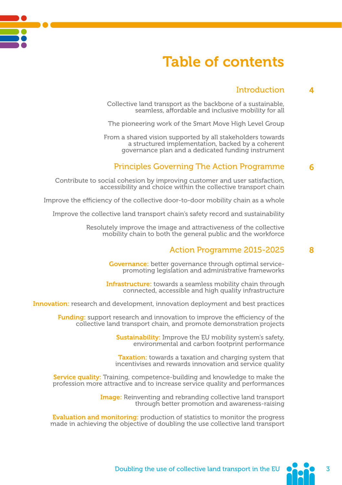## Table of contents

#### 4 Introduction

Collective land transport as the backbone of a sustainable, seamless, affordable and inclusive mobility for all

The pioneering work of the Smart Move High Level Group

From a shared vision supported by all stakeholders towards a structured implementation, backed by a coherent governance plan and a dedicated funding instrument

#### 6 Principles Governing The Action Programme

Contribute to social cohesion by improving customer and user satisfaction, accessibility and choice within the collective transport chain

Improve the efficiency of the collective door-to-door mobility chain as a whole

Improve the collective land transport chain's safety record and sustainability

Resolutely improve the image and attractiveness of the collective mobility chain to both the general public and the workforce

### Action Programme 2015-2025

Governance: better governance through optimal servicepromoting legislation and administrative frameworks

Infrastructure: towards a seamless mobility chain through connected, accessible and high quality infrastructure

Innovation: research and development, innovation deployment and best practices

Funding: support research and innovation to improve the efficiency of the collective land transport chain, and promote demonstration projects

> Sustainability: Improve the EU mobility system's safety, environmental and carbon footprint performance

> Taxation: towards a taxation and charging system that incentivises and rewards innovation and service quality

Service quality: Training, competence-building and knowledge to make the profession more attractive and to increase service quality and performances

> Image: Reinventing and rebranding collective land transport through better promotion and awareness-raising

Evaluation and monitoring: production of statistics to monitor the progress made in achieving the objective of doubling the use collective land transport 8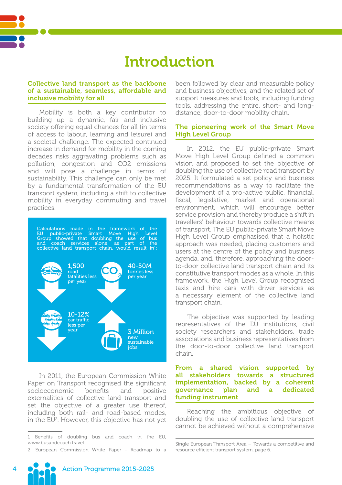## **Introduction**

#### Collective land transport as the backbone of a sustainable, seamless, affordable and inclusive mobility for all

Mobility is both a key contributor to building up a dynamic, fair and inclusive society offering equal chances for all (in terms of access to labour, learning and leisure) and a societal challenge. The expected continued increase in demand for mobility in the coming decades risks aggravating problems such as pollution, congestion and CO2 emissions and will pose a challenge in terms of sustainability. This challenge can only be met by a fundamental transformation of the EU transport system, including a shift to collective mobility in everyday commuting and travel practices.1



In 2011, the European Commission White Paper on Transport recognised the significant socioeconomic benefits and positive externalities of collective land transport and set the objective of a greater use thereof, including both rail- and road-based modes, in the EU<sup>2</sup>. However, this objective has not yet been followed by clear and measurable policy and business objectives, and the related set of support measures and tools, including funding tools, addressing the entire, short- and longdistance, door-to-door mobility chain.

#### The pioneering work of the Smart Move High Level Group

In 2012, the EU public-private Smart Move High Level Group defined a common vision and proposed to set the objective of doubling the use of collective road transport by 2025. It formulated a set policy and business recommendations as a way to facilitate the development of a pro-active public, financial, fiscal, legislative, market and operational environment, which will encourage better service provision and thereby produce a shift in travellers' behaviour towards collective means of transport. The EU public-private Smart Move High Level Group emphasised that a holistic approach was needed, placing customers and users at the centre of the policy and business agenda, and, therefore, approaching the doorto-door collective land transport chain and its constitutive transport modes as a whole. In this framework, the High Level Group recognised taxis and hire cars with driver services as a necessary element of the collective land transport chain.

The objective was supported by leading representatives of the EU institutions, civil society researchers and stakeholders, trade associations and business representatives from the door-to-door collective land transport chain.

#### From a shared vision supported by all stakeholders towards a structured implementation, backed by a coherent governance plan and a dedicated funding instrument

Reaching the ambitious objective of doubling the use of collective land transport cannot be achieved without a comprehensive

<sup>1</sup> Benefits of doubling bus and coach in the EU, www.busandcoach.travel

<sup>2</sup> European Commission White Paper - Roadmap to a

Single European Transport Area – Towards a competitive and resource efficient transport system, page 6.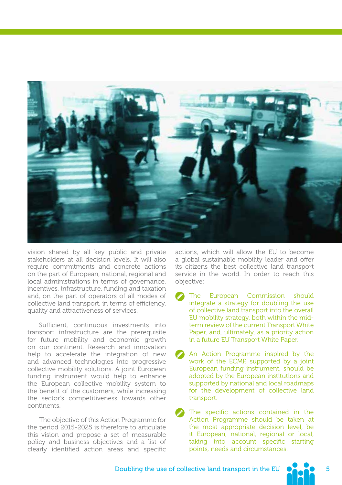

vision shared by all key public and private stakeholders at all decision levels. It will also require commitments and concrete actions on the part of European, national, regional and local administrations in terms of governance, incentives, infrastructure, funding and taxation and, on the part of operators of all modes of collective land transport, in terms of efficiency, quality and attractiveness of services.

Sufficient, continuous investments into transport infrastructure are the prerequisite for future mobility and economic growth on our continent. Research and innovation help to accelerate the integration of new and advanced technologies into progressive collective mobility solutions. A joint European funding instrument would help to enhance the European collective mobility system to the benefit of the customers, while increasing the sector's competitiveness towards other continents.

The objective of this Action Programme for the period 2015-2025 is therefore to articulate this vision and propose a set of measurable policy and business objectives and a list of clearly identified action areas and specific actions, which will allow the EU to become a global sustainable mobility leader and offer its citizens the best collective land transport service in the world. In order to reach this objective:

- The European Commission should integrate a strategy for doubling the use of collective land transport into the overall EU mobility strategy, both within the midterm review of the current Transport White Paper, and, ultimately, as a priority action in a future EU Transport White Paper.
- An Action Programme inspired by the work of the ECMF, supported by a joint European funding instrument, should be adopted by the European institutions and supported by national and local roadmaps for the development of collective land transport.
- The specific actions contained in the Action Programme should be taken at the most appropriate decision level, be it European, national, regional or local, taking into account specific starting points, needs and circumstances.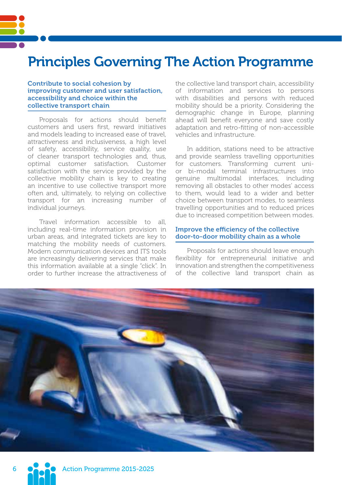

## Principles Governing The Action Programme

#### Contribute to social cohesion by improving customer and user satisfaction, accessibility and choice within the collective transport chain

Proposals for actions should benefit customers and users first, reward initiatives and models leading to increased ease of travel, attractiveness and inclusiveness, a high level of safety, accessibility, service quality, use of cleaner transport technologies and, thus, optimal customer satisfaction. Customer satisfaction with the service provided by the collective mobility chain is key to creating an incentive to use collective transport more often and, ultimately, to relying on collective transport for an increasing number of individual journeys.

Travel information accessible to all, including real-time information provision in urban areas, and integrated tickets are key to matching the mobility needs of customers. Modern communication devices and ITS tools are increasingly delivering services that make this information available at a single "click". In order to further increase the attractiveness of the collective land transport chain, accessibility of information and services to persons with disabilities and persons with reduced mobility should be a priority. Considering the demographic change in Europe, planning ahead will benefit everyone and save costly adaptation and retro-fitting of non-accessible vehicles and infrastructure.

In addition, stations need to be attractive and provide seamless travelling opportunities for customers. Transforming current unior bi-modal terminal infrastructures into genuine multimodal interfaces, including removing all obstacles to other modes' access to them, would lead to a wider and better choice between transport modes, to seamless travelling opportunities and to reduced prices due to increased competition between modes.

#### Improve the efficiency of the collective door-to-door mobility chain as a whole

Proposals for actions should leave enough flexibility for entrepreneurial initiative and innovation and strengthen the competitiveness of the collective land transport chain as

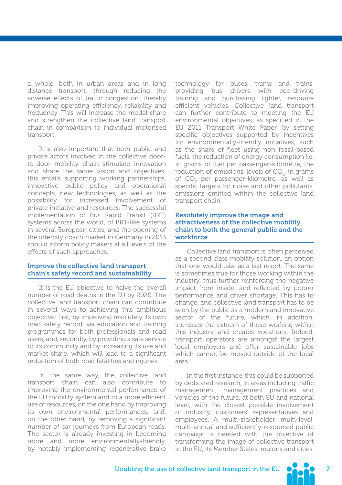a whole, both in urban areas and in long distance transport, through reducing the adverse effects of traffic congestion, thereby improving operating efficiency, reliability and frequency. This will increase the modal share and strengthen the collective land transport chain in comparison to individual motorised transport

It is also important that both public and private actors involved in the collective doorto-door mobility chain stimulate innovation and share the same vision and objectives; this entails supporting working partnerships, innovative public policy and operational concepts, new technologies, as well as the possibility for increased involvement of private initiative and resources. The successful implementation of Bus Rapid Transit (BRT) systems across the world, of BRT-like systems in several European cities, and the opening of the intercity coach market in Germany in 2013 should inform policy makers at all levels of the effects of such approaches.

#### Improve the collective land transport chain's safety record and sustainability

It is the EU objective to halve the overall number of road deaths in the EU by 2020. The collective land transport chain can contribute in several ways to achieving this ambitious objective: first, by improving resolutely its own road safety record, via education and training programmes for both professionals and road users, and, secondly, by providing a safe service to its community and by increasing its use and market share, which will lead to a significant reduction of both road fatalities and injuries.

In the same way, the collective land transport chain can also contribute to improving the environmental performance of the EU mobility system and to a more efficient use of resources, on the one hand by improving its own environmental performances, and, on the other hand, by removing a significant number of car journeys from European roads. The sector is already investing in becoming more and more environmentally-friendly, by notably implementing regenerative brake

technology for buses, trams and trains, providing bus drivers with eco-driving training and purchasing lighter, resource efficient vehicles. Collective land transport can further contribute to meeting the EU environmental objectives, as specified in the EU 2011 Transport White Paper, by setting specific objectives supported by incentives for environmentally-friendly initiatives, such as the share of fleet using non fossil-based fuels, the reduction of energy consumption i.e. in grams of fuel per passenger-kilometre, the reduction of emissions' levels of  $CO<sub>2</sub>$ , in grams of CO<sub>2</sub> per passenger-kilometre, as well as specific targets for noise and other pollutants' emissions emitted within the collective land transport chain.

#### Resolutely improve the image and attractiveness of the collective mobility chain to both the general public and the workforce

Collective land transport is often perceived as a second class mobility solution, an option that one would take as a last resort. The same is sometimes true for those working within the industry, thus further reinforcing the negative impact from inside, and reflected by poorer performance and driver shortage. This has to change, and collective land transport has to be seen by the public as a modern and innovative sector of the future, which, in addition, increases the esteem of those working within this industry and creates vocations. Indeed, transport operators are amongst the largest local employers and offer sustainable jobs which cannot be moved outside of the local area.

In the first instance, this could be supported by dedicated research, in areas including traffic management, management practices and vehicles of the future, at both EU and national level, with the closest possible involvement of industry, customers' representatives and employees. A multi-stakeholder, multi-level, multi-annual and sufficiently-resourced public campaign is needed with the objective of transforming the image of collective transport in the EU, its Member States, regions and cities.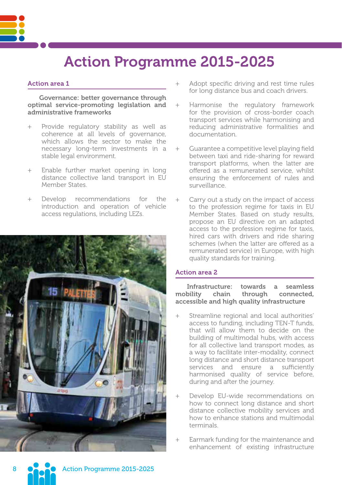

#### Action area 1

Governance: better governance through optimal service-promoting legislation and administrative frameworks

- + Provide regulatory stability as well as coherence at all levels of governance, which allows the sector to make the necessary long-term investments in a stable legal environment.
- + Enable further market opening in long distance collective land transport in EU Member States.
- + Develop recommendations for the introduction and operation of vehicle access regulations, including LEZs.



- Adopt specific driving and rest time rules for long distance bus and coach drivers.
- Harmonise the regulatory framework for the provision of cross-border coach transport services while harmonising and reducing administrative formalities and documentation.
- Guarantee a competitive level playing field between taxi and ride-sharing for reward transport platforms, when the latter are offered as a remunerated service, whilst ensuring the enforcement of rules and surveillance.
- + Carry out a study on the impact of access to the profession regime for taxis in EU Member States. Based on study results, propose an EU directive on an adapted access to the profession regime for taxis, hired cars with drivers and ride sharing schemes (when the latter are offered as a remunerated service) in Europe, with high quality standards for training.

### Action area 2

Infrastructure: towards a seamless mobility chain through connected, accessible and high quality infrastructure

- Streamline regional and local authorities' access to funding, including TEN-T funds, that will allow them to decide on the building of multimodal hubs, with access for all collective land transport modes, as a way to facilitate inter-modality, connect long distance and short distance transport services and ensure a sufficiently harmonised quality of service before, during and after the journey.
- Develop EU-wide recommendations on how to connect long distance and short distance collective mobility services and how to enhance stations and multimodal terminals.
- Earmark funding for the maintenance and enhancement of existing infrastructure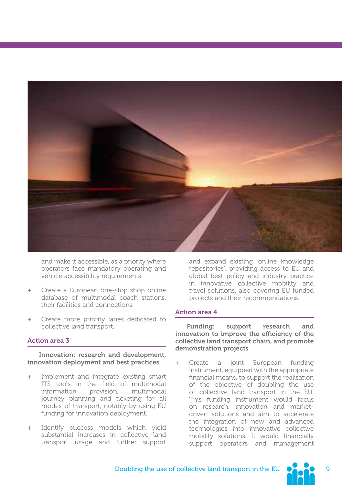

and make it accessible, as a priority where operators face mandatory operating and vehicle accessibility requirements.

- Create a European one-stop shop online database of multimodal coach stations, their facilities and connections.
- Create more priority lanes dedicated to collective land transport.

#### Action area 3

#### Innovation: research and development, innovation deployment and best practices

- + Implement and integrate existing smart ITS tools in the field of multimodal information provision, multimodal journey planning and ticketing for all modes of transport, notably by using EU funding for innovation deployment.
- + Identify success models which yield substantial increases in collective land transport usage and further support

and expand existing "online knowledge repositories", providing access to EU and global best policy and industry practice in innovative collective mobility and travel solutions, also covering EU funded projects and their recommendations.

#### Action area 4

Funding: support research and innovation to improve the efficiency of the collective land transport chain, and promote demonstration projects

+ Create a joint European funding instrument, equipped with the appropriate financial means, to support the realisation of the objective of doubling the use of collective land transport in the EU. This funding instrument would focus on research, innovation and marketdriven solutions and aim to accelerate the integration of new and advanced technologies into innovative collective mobility solutions. It would financially support operators and management

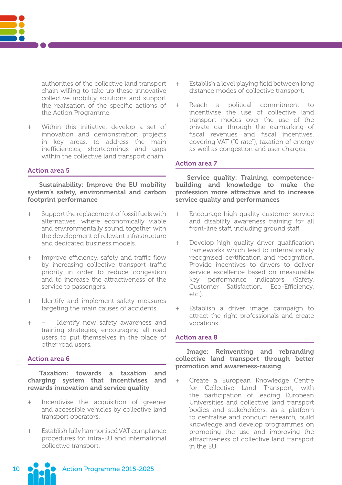authorities of the collective land transport chain willing to take up these innovative collective mobility solutions and support the realisation of the specific actions of the Action Programme.

+ Within this initiative, develop a set of innovation and demonstration projects in key areas, to address the main inefficiencies, shortcomings and gaps within the collective land transport chain.

### Action area 5

Sustainability: Improve the EU mobility system's safety, environmental and carbon footprint performance

- Support the replacement of fossil fuels with alternatives, where economically viable and environmentally sound, together with the development of relevant infrastructure and dedicated business models.
- + Improve efficiency, safety and traffic flow by increasing collective transport traffic priority in order to reduce congestion and to increase the attractiveness of the service to passengers.
- + Identify and implement safety measures targeting the main causes of accidents.
- + − Identify new safety awareness and training strategies, encouraging all road users to put themselves in the place of other road users.

#### Action area 6

Taxation: towards a taxation and charging system that incentivises and rewards innovation and service quality

- + Incentivise the acquisition of greener and accessible vehicles by collective land transport operators.
- + Establish fully harmonised VAT compliance procedures for intra-EU and international collective transport.
- + Establish a level playing field between long distance modes of collective transport.
- + Reach a political commitment to incentivise the use of collective land transport modes over the use of the private car through the earmarking of fiscal revenues and fiscal incentives, covering VAT ("0 rate"), taxation of energy as well as congestion and user charges.

#### Action area 7

Service quality: Training, competencebuilding and knowledge to make the profession more attractive and to increase .<br>service quality and performances

- + Encourage high quality customer service and disability awareness training for all front-line staff, including ground staff.
- + Develop high quality driver qualification frameworks which lead to internationally recognised certification and recognition. Provide incentives to drivers to deliver service excellence based on measurable key performance indicators (Safety, Customer Satisfaction, Eco-Efficiency, etc.).
- + Establish a driver image campaign to attract the right professionals and create vocations.

#### Action area 8

#### Image: Reinventing and rebranding collective land transport through better promotion and awareness-raising

+ Create a European Knowledge Centre for Collective Land Transport, with the participation of leading European Universities and collective land transport bodies and stakeholders, as a platform to centralise and conduct research, build knowledge and develop programmes on promoting the use and improving the attractiveness of collective land transport in the EU.

10 **Collection Programme 2015-2025**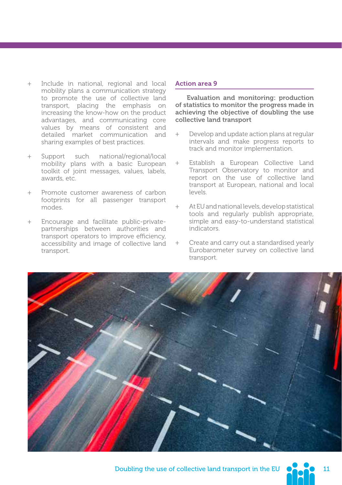- + Include in national, regional and local mobility plans a communication strategy to promote the use of collective land transport, placing the emphasis on increasing the know-how on the product advantages, and communicating core values by means of consistent and detailed market communication and sharing examples of best practices.
- + Support such national/regional/local mobility plans with a basic European toolkit of joint messages, values, labels, awards, etc.
- Promote customer awareness of carbon footprints for all passenger transport modes.
- + Encourage and facilitate public-privatepartnerships between authorities and transport operators to improve efficiency, accessibility and image of collective land transport.

### Action area 9

Evaluation and monitoring: production of statistics to monitor the progress made in achieving the objective of doubling the use collective land transport

- + Develop and update action plans at regular intervals and make progress reports to track and monitor implementation.
- + Establish a European Collective Land Transport Observatory to monitor and report on the use of collective land transport at European, national and local levels.
- At EU and national levels, develop statistical tools and regularly publish appropriate, simple and easy-to-understand statistical indicators.
- Create and carry out a standardised yearly Eurobarometer survey on collective land transport.